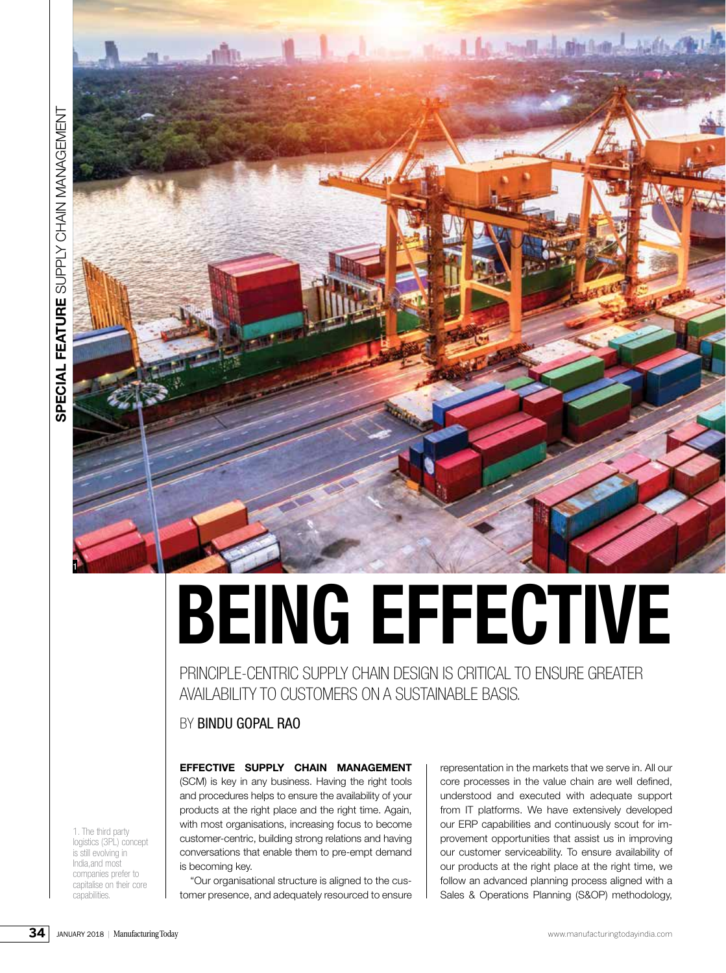

# **BEING EFFECTIVE**

PRINCIPLE-CENTRIC SUPPLY CHAIN DESIGN IS CRITICAL TO ENSURE GREATER AVAILABILITY TO CUSTOMERS ON A SUSTAINABLE BASIS.

# BY BINDU GOPAL RAO

**EFFECTIVE SUPPLY CHAIN MANAGEMENT** 

(SCM) is key in any business. Having the right tools and procedures helps to ensure the availability of your products at the right place and the right time. Again, with most organisations, increasing focus to become customer-centric, building strong relations and having conversations that enable them to pre-empt demand is becoming key.

"Our organisational structure is aligned to the customer presence, and adequately resourced to ensure representation in the markets that we serve in. All our core processes in the value chain are well defined, understood and executed with adequate support from IT platforms. We have extensively developed our ERP capabilities and continuously scout for improvement opportunities that assist us in improving our customer serviceability. To ensure availability of our products at the right place at the right time, we follow an advanced planning process aligned with a Sales & Operations Planning (S&OP) methodology,

1. The third party logistics (3PL) concept is still evolving in India,and most companies prefer to capitalise on their core capabilities.

**34**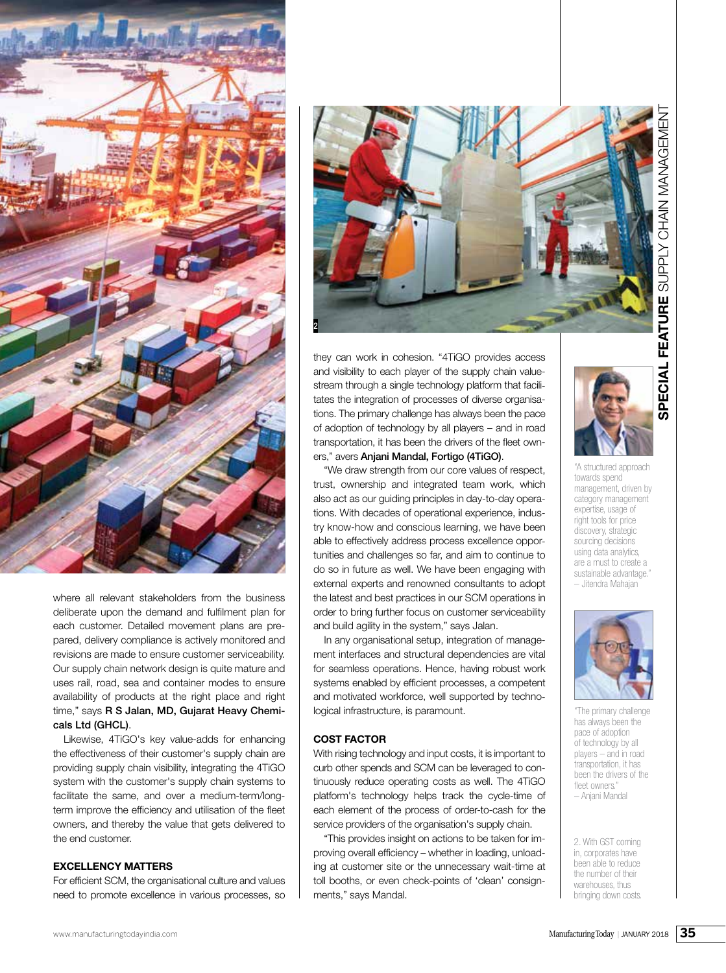

where all relevant stakeholders from the business deliberate upon the demand and fulfilment plan for each customer. Detailed movement plans are prepared, delivery compliance is actively monitored and revisions are made to ensure customer serviceability. Our supply chain network design is quite mature and uses rail, road, sea and container modes to ensure availability of products at the right place and right time," says R S Jalan, MD, Gujarat Heavy Chemicals Ltd (GHCL).

Likewise, 4TiGO's key value-adds for enhancing the effectiveness of their customer's supply chain are providing supply chain visibility, integrating the 4TiGO system with the customer's supply chain systems to facilitate the same, and over a medium-term/longterm improve the efficiency and utilisation of the fleet owners, and thereby the value that gets delivered to the end customer.

# **EXCELLENCY MATTERS**

For efficient SCM, the organisational culture and values need to promote excellence in various processes, so



they can work in cohesion. "4TiGO provides access and visibility to each player of the supply chain valuestream through a single technology platform that facilitates the integration of processes of diverse organisations. The primary challenge has always been the pace of adoption of technology by all players – and in road transportation, it has been the drivers of the fleet owners," avers Anjani Mandal, Fortigo (4TiGO).

"We draw strength from our core values of respect, trust, ownership and integrated team work, which also act as our guiding principles in day-to-day operations. With decades of operational experience, industry know-how and conscious learning, we have been able to effectively address process excellence opportunities and challenges so far, and aim to continue to do so in future as well. We have been engaging with external experts and renowned consultants to adopt the latest and best practices in our SCM operations in order to bring further focus on customer serviceability and build agility in the system," says Jalan.

In any organisational setup, integration of management interfaces and structural dependencies are vital for seamless operations. Hence, having robust work systems enabled by efficient processes, a competent and motivated workforce, well supported by technological infrastructure, is paramount.

### **COST FACTOR**

With rising technology and input costs, it is important to curb other spends and SCM can be leveraged to continuously reduce operating costs as well. The 4TiGO platform's technology helps track the cycle-time of each element of the process of order-to-cash for the service providers of the organisation's supply chain.

"This provides insight on actions to be taken for improving overall efficiency – whether in loading, unloading at customer site or the unnecessary wait-time at toll booths, or even check-points of 'clean' consignments," says Mandal.



"A structured approach towards spend management, driven by category management expertise, usage of right tools for price discovery, strategic sourcing decisions using data analytics, are a must to create a sustainable advantage." – Jitendra Mahajan



"The primary challenge has always been the pace of adoption of technology by all players – and in road transportation, it has been the drivers of the fleet owners. – Anjani Mandal

2. With GST coming in, corporates have been able to reduce the number of their warehouses, thus bringing down costs.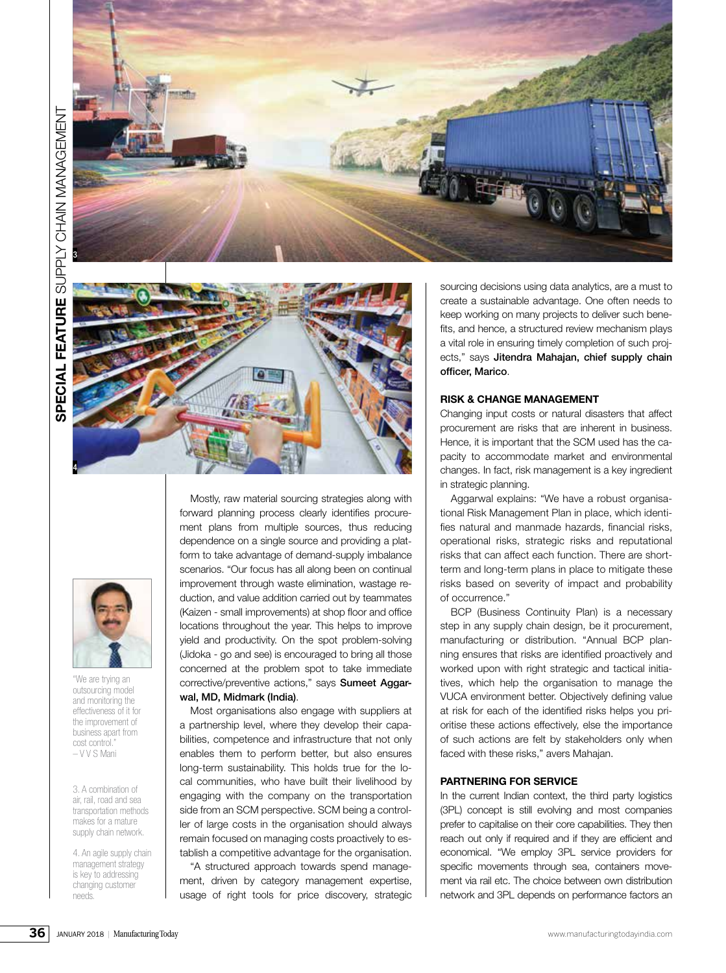





"We are trying an outsourcing model and monitoring the effectiveness of it for the improvement of business apart from cost control. – V V S Mani

3. A combination of air, rail, road and sea transportation methods makes for a mature supply chain network.

4. An agile supply chain management strategy is key to addressing changing customer needs.

Mostly, raw material sourcing strategies along with forward planning process clearly identifies procurement plans from multiple sources, thus reducing dependence on a single source and providing a platform to take advantage of demand-supply imbalance scenarios. "Our focus has all along been on continual improvement through waste elimination, wastage reduction, and value addition carried out by teammates (Kaizen - small improvements) at shop floor and office locations throughout the year. This helps to improve yield and productivity. On the spot problem-solving (Jidoka - go and see) is encouraged to bring all those concerned at the problem spot to take immediate corrective/preventive actions," says Sumeet Aggarwal, MD, Midmark (India).

Most organisations also engage with suppliers at a partnership level, where they develop their capabilities, competence and infrastructure that not only enables them to perform better, but also ensures long-term sustainability. This holds true for the local communities, who have built their livelihood by engaging with the company on the transportation side from an SCM perspective. SCM being a controller of large costs in the organisation should always remain focused on managing costs proactively to establish a competitive advantage for the organisation.

"A structured approach towards spend management, driven by category management expertise, usage of right tools for price discovery, strategic sourcing decisions using data analytics, are a must to create a sustainable advantage. One often needs to keep working on many projects to deliver such benefits, and hence, a structured review mechanism plays a vital role in ensuring timely completion of such projects," says Jitendra Mahajan, chief supply chain officer, Marico.

# **RISK & CHANGE MANAGEMENT**

Changing input costs or natural disasters that affect procurement are risks that are inherent in business. Hence, it is important that the SCM used has the capacity to accommodate market and environmental changes. In fact, risk management is a key ingredient in strategic planning.

Aggarwal explains: "We have a robust organisational Risk Management Plan in place, which identifies natural and manmade hazards, financial risks, operational risks, strategic risks and reputational risks that can affect each function. There are shortterm and long-term plans in place to mitigate these risks based on severity of impact and probability of occurrence."

BCP (Business Continuity Plan) is a necessary step in any supply chain design, be it procurement, manufacturing or distribution. "Annual BCP planning ensures that risks are identified proactively and worked upon with right strategic and tactical initiatives, which help the organisation to manage the VUCA environment better. Objectively defining value at risk for each of the identified risks helps you prioritise these actions effectively, else the importance of such actions are felt by stakeholders only when faced with these risks," avers Mahajan.

## **PARTNERING FOR SERVICE**

In the current Indian context, the third party logistics (3PL) concept is still evolving and most companies prefer to capitalise on their core capabilities. They then reach out only if required and if they are efficient and economical. "We employ 3PL service providers for specific movements through sea, containers movement via rail etc. The choice between own distribution network and 3PL depends on performance factors an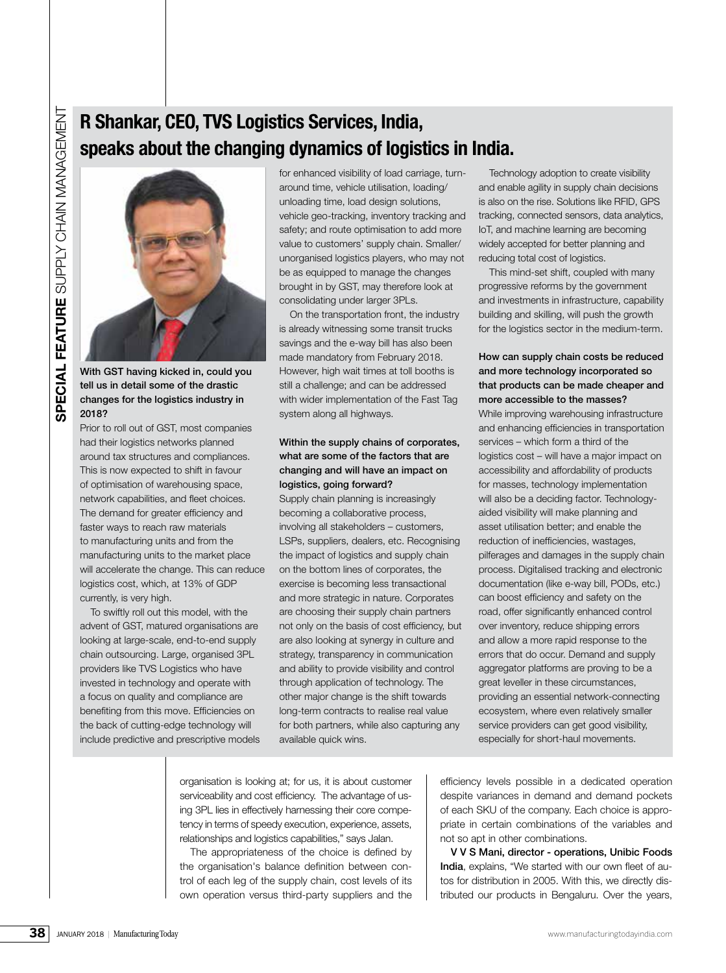# **R Shankar, CEO, TVS Logistics Services, India, speaks about the changing dynamics of logistics in India.**



With GST having kicked in, could you tell us in detail some of the drastic changes for the logistics industry in 2018?

Prior to roll out of GST, most companies had their logistics networks planned around tax structures and compliances. This is now expected to shift in favour of optimisation of warehousing space, network capabilities, and fleet choices. The demand for greater efficiency and faster ways to reach raw materials to manufacturing units and from the manufacturing units to the market place will accelerate the change. This can reduce logistics cost, which, at 13% of GDP currently, is very high.

To swiftly roll out this model, with the advent of GST, matured organisations are looking at large-scale, end-to-end supply chain outsourcing. Large, organised 3PL providers like TVS Logistics who have invested in technology and operate with a focus on quality and compliance are benefiting from this move. Efficiencies on the back of cutting-edge technology will include predictive and prescriptive models

for enhanced visibility of load carriage, turnaround time, vehicle utilisation, loading/ unloading time, load design solutions, vehicle geo-tracking, inventory tracking and safety; and route optimisation to add more value to customers' supply chain. Smaller/ unorganised logistics players, who may not be as equipped to manage the changes brought in by GST, may therefore look at consolidating under larger 3PLs.

On the transportation front, the industry is already witnessing some transit trucks savings and the e-way bill has also been made mandatory from February 2018. However, high wait times at toll booths is still a challenge; and can be addressed with wider implementation of the Fast Tag system along all highways.

# Within the supply chains of corporates, what are some of the factors that are changing and will have an impact on logistics, going forward?

Supply chain planning is increasingly becoming a collaborative process, involving all stakeholders – customers, LSPs, suppliers, dealers, etc. Recognising the impact of logistics and supply chain on the bottom lines of corporates, the exercise is becoming less transactional and more strategic in nature. Corporates are choosing their supply chain partners not only on the basis of cost efficiency, but are also looking at synergy in culture and strategy, transparency in communication and ability to provide visibility and control through application of technology. The other major change is the shift towards long-term contracts to realise real value for both partners, while also capturing any available quick wins.

Technology adoption to create visibility and enable agility in supply chain decisions is also on the rise. Solutions like RFID, GPS tracking, connected sensors, data analytics, IoT, and machine learning are becoming widely accepted for better planning and reducing total cost of logistics.

This mind-set shift, coupled with many progressive reforms by the government and investments in infrastructure, capability building and skilling, will push the growth for the logistics sector in the medium-term.

# How can supply chain costs be reduced and more technology incorporated so that products can be made cheaper and more accessible to the masses?

**SPERIMENT CONTROLL THE CONFIDENTIES CONFIDENTIES IN INTERNATIONAL INTERNATIONAL INTERNATIONAL INTERNATIONAL INTERNATIONAL INTERNATIONAL INTERNATIONAL INTERNATIONAL INTERNATIONAL INTERNATIONAL INTERNATIONAL INTERNATIONAL** While improving warehousing infrastructure and enhancing efficiencies in transportation services – which form a third of the logistics cost – will have a major impact on accessibility and affordability of products for masses, technology implementation will also be a deciding factor. Technologyaided visibility will make planning and asset utilisation better; and enable the reduction of inefficiencies, wastages, pilferages and damages in the supply chain process. Digitalised tracking and electronic documentation (like e-way bill, PODs, etc.) can boost efficiency and safety on the road, offer significantly enhanced control over inventory, reduce shipping errors and allow a more rapid response to the errors that do occur. Demand and supply aggregator platforms are proving to be a great leveller in these circumstances, providing an essential network-connecting ecosystem, where even relatively smaller service providers can get good visibility, especially for short-haul movements.

organisation is looking at; for us, it is about customer serviceability and cost efficiency. The advantage of using 3PL lies in effectively harnessing their core competency in terms of speedy execution, experience, assets, relationships and logistics capabilities," says Jalan.

The appropriateness of the choice is defined by the organisation's balance definition between control of each leg of the supply chain, cost levels of its own operation versus third-party suppliers and the

efficiency levels possible in a dedicated operation despite variances in demand and demand pockets of each SKU of the company. Each choice is appropriate in certain combinations of the variables and not so apt in other combinations.

V V S Mani, director - operations, Unibic Foods India, explains, "We started with our own fleet of autos for distribution in 2005. With this, we directly distributed our products in Bengaluru. Over the years,